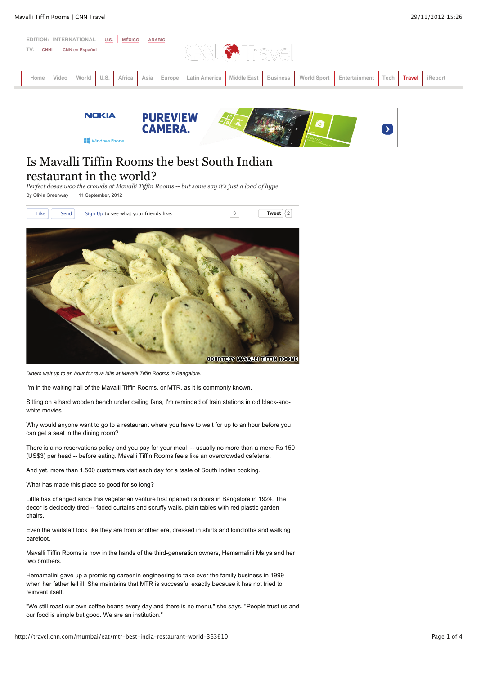



# Is Mavalli Tiffin Rooms the best South Indian restaurant in the world?

*Perfect dosas woo the crowds at Mavalli Tiffin Rooms -- but some say it's just a load of hype* By Olivia Greenway 11 September, 2012



*Diners wait up to an hour for rava idlis at Mavalli Tiffin Rooms in Bangalore.*

I'm in the waiting hall of the Mavalli Tiffin Rooms, or MTR, as it is commonly known.

Sitting on a hard wooden bench under ceiling fans, I'm reminded of train stations in old black-andwhite movies.

Why would anyone want to go to a restaurant where you have to wait for up to an hour before you can get a seat in the dining room?

There is a no reservations policy and you pay for your meal -- usually no more than a mere Rs 150 (US\$3) per head -- before eating. Mavalli Tiffin Rooms feels like an overcrowded cafeteria.

And yet, more than 1,500 customers visit each day for a taste of South Indian cooking.

What has made this place so good for so long?

Little has changed since this vegetarian venture first opened its doors in Bangalore in 1924. The decor is decidedly tired -- faded curtains and scruffy walls, plain tables with red plastic garden chairs.

Even the waitstaff look like they are from another era, dressed in shirts and loincloths and walking barefoot.

Mavalli Tiffin Rooms is now in the hands of the third-generation owners, Hemamalini Maiya and her two brothers.

Hemamalini gave up a promising career in engineering to take over the family business in 1999 when her father fell ill. She maintains that MTR is successful exactly because it has not tried to reinvent itself.

"We still roast our own coffee beans every day and there is no menu," she says. "People trust us and our food is simple but good. We are an institution."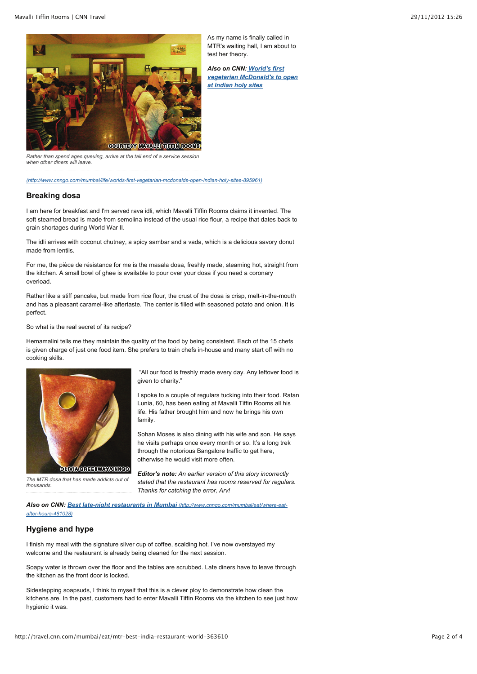

As my name is finally called in MTR's waiting hall, I am about to test her theory.

*Also on CNN: World's first vegetarian McDonald's to open at Indian holy sites*

*Rather than spend ages queuing, arrive at the tail end of a service session when other diners will leave.*

*(http://www.cnngo.com/mumbai/life/worlds-first-vegetarian-mcdonalds-open-indian-holy-sites-895961)*

#### **Breaking dosa**

I am here for breakfast and I'm served rava idli, which Mavalli Tiffin Rooms claims it invented. The soft steamed bread is made from semolina instead of the usual rice flour, a recipe that dates back to grain shortages during World War II.

The idli arrives with coconut chutney, a spicy sambar and a vada, which is a delicious savory donut made from lentils.

For me, the pièce de résistance for me is the masala dosa, freshly made, steaming hot, straight from the kitchen. A small bowl of ghee is available to pour over your dosa if you need a coronary overload.

Rather like a stiff pancake, but made from rice flour, the crust of the dosa is crisp, melt-in-the-mouth and has a pleasant caramel-like aftertaste. The center is filled with seasoned potato and onion. It is perfect.

So what is the real secret of its recipe?

Hemamalini tells me they maintain the quality of the food by being consistent. Each of the 15 chefs is given charge of just one food item. She prefers to train chefs in-house and many start off with no cooking skills.



**OLIVIA GREEKWAYGHIKOO** 

*The MTR dosa that has made addicts out of thousands.*

 "All our food is freshly made every day. Any leftover food is given to charity."

I spoke to a couple of regulars tucking into their food. Ratan Lunia, 60, has been eating at Mavalli Tiffin Rooms all his life. His father brought him and now he brings his own family.

Sohan Moses is also dining with his wife and son. He says he visits perhaps once every month or so. It's a long trek through the notorious Bangalore traffic to get here, otherwise he would visit more often.

*Editor's note: An earlier version of this story incorrectly stated that the restaurant has rooms reserved for regulars. Thanks for catching the error, Arv!*

*Also on CNN: Best late-night restaurants in Mumbai (http://www.cnngo.com/mumbai/eat/where-eatafter-hours-481028)*

### **Hygiene and hype**

I finish my meal with the signature silver cup of coffee, scalding hot. I've now overstayed my welcome and the restaurant is already being cleaned for the next session.

Soapy water is thrown over the floor and the tables are scrubbed. Late diners have to leave through the kitchen as the front door is locked.

Sidestepping soapsuds, I think to myself that this is a clever ploy to demonstrate how clean the kitchens are. In the past, customers had to enter Mavalli Tiffin Rooms via the kitchen to see just how hygienic it was.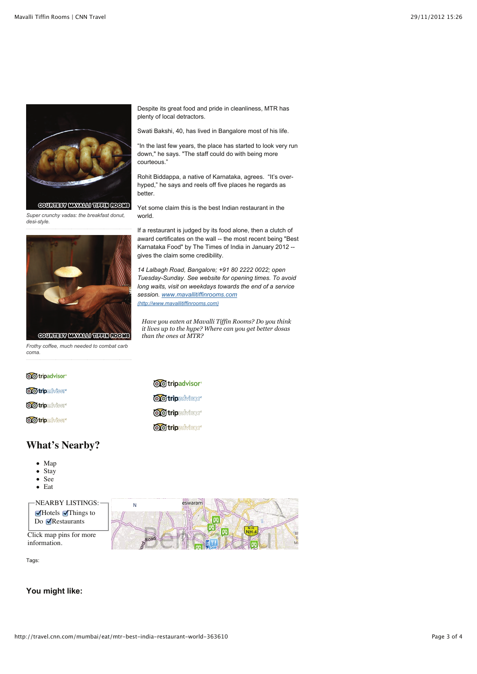

*Super crunchy vadas: the breakfast donut, desi-style.*



*Frothy coffee, much needed to combat carb coma.*

Despite its great food and pride in cleanliness, MTR has plenty of local detractors.

Swati Bakshi, 40, has lived in Bangalore most of his life.

"In the last few years, the place has started to look very run down," he says. "The staff could do with being more courteous."

Rohit Biddappa, a native of Karnataka, agrees. "It's overhyped," he says and reels off five places he regards as better.

Yet some claim this is the best Indian restaurant in the world.

If a restaurant is judged by its food alone, then a clutch of award certificates on the wall -- the most recent being "Best Karnataka Food" by The Times of India in January 2012 - gives the claim some credibility.

*14 Lalbagh Road, Bangalore; +91 80 2222 0022; open Tuesday-Sunday. See website for opening times. To avoid long waits, visit on weekdays towards the end of a service session. www.mavallitiffinrooms.com (http://www.mavallitiffinrooms.com)*

*it lives up to the hype? Where can you get better dosas than the ones at MTR?*

*Have you eaten at Mavalli Tiffin Rooms? Do you think*

| <b>OO</b> tripadvisor <sup>®</sup> | @@tripadvisor®                     |
|------------------------------------|------------------------------------|
| <b>OO tripadvisor</b>              |                                    |
|                                    | <b>OO</b> tripadvisor <sup>®</sup> |
| <b>OO tripadvisor</b>              |                                    |
| <b>OO tripadvisor</b>              | <b>OO tripadvisor</b>              |
|                                    | <b>OO</b> tripadvisor <sup>®</sup> |

## **What's Nearby?**

- Map
- $\bullet$  Stay
- See  $\bullet$  $\bullet$  Eat
- 

| $\Gamma$ NEARBY LISTINGS: $\Gamma$                                      | eswaran |  |  |
|-------------------------------------------------------------------------|---------|--|--|
| $\blacksquare$ Hotels $\blacksquare$ Things to<br>Do <b>Restaurants</b> |         |  |  |
| Click map pins for more<br>information.                                 |         |  |  |

Tags:

#### **You might like:**